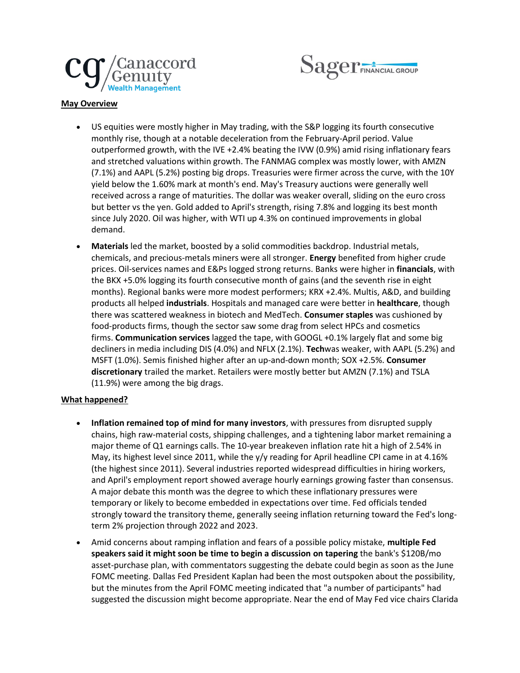



## **May Overview**

- US equities were mostly higher in May trading, with the S&P logging its fourth consecutive monthly rise, though at a notable deceleration from the February-April period. Value outperformed growth, with the IVE +2.4% beating the IVW (0.9%) amid rising inflationary fears and stretched valuations within growth. The FANMAG complex was mostly lower, with AMZN (7.1%) and AAPL (5.2%) posting big drops. Treasuries were firmer across the curve, with the 10Y yield below the 1.60% mark at month's end. May's Treasury auctions were generally well received across a range of maturities. The dollar was weaker overall, sliding on the euro cross but better vs the yen. Gold added to April's strength, rising 7.8% and logging its best month since July 2020. Oil was higher, with WTI up 4.3% on continued improvements in global demand.
- **Materials** led the market, boosted by a solid commodities backdrop. Industrial metals, chemicals, and precious-metals miners were all stronger. **Energy** benefited from higher crude prices. Oil-services names and E&Ps logged strong returns. Banks were higher in **financials**, with the BKX +5.0% logging its fourth consecutive month of gains (and the seventh rise in eight months). Regional banks were more modest performers; KRX +2.4%. Multis, A&D, and building products all helped **industrials**. Hospitals and managed care were better in **healthcare**, though there was scattered weakness in biotech and MedTech. **Consumer staples** was cushioned by food-products firms, though the sector saw some drag from select HPCs and cosmetics firms. **Communication services** lagged the tape, with GOOGL +0.1% largely flat and some big decliners in media including DIS (4.0%) and NFLX (2.1%). **Tech**was weaker, with AAPL (5.2%) and MSFT (1.0%). Semis finished higher after an up-and-down month; SOX +2.5%. **Consumer discretionary** trailed the market. Retailers were mostly better but AMZN (7.1%) and TSLA (11.9%) were among the big drags.

## **What happened?**

- **Inflation remained top of mind for many investors**, with pressures from disrupted supply chains, high raw-material costs, shipping challenges, and a tightening labor market remaining a major theme of Q1 earnings calls. The 10-year breakeven inflation rate hit a high of 2.54% in May, its highest level since 2011, while the y/y reading for April headline CPI came in at 4.16% (the highest since 2011). Several industries reported widespread difficulties in hiring workers, and April's employment report showed average hourly earnings growing faster than consensus. A major debate this month was the degree to which these inflationary pressures were temporary or likely to become embedded in expectations over time. Fed officials tended strongly toward the transitory theme, generally seeing inflation returning toward the Fed's longterm 2% projection through 2022 and 2023.
- Amid concerns about ramping inflation and fears of a possible policy mistake, **multiple Fed speakers said it might soon be time to begin a discussion on tapering** the bank's \$120B/mo asset-purchase plan, with commentators suggesting the debate could begin as soon as the June FOMC meeting. Dallas Fed President Kaplan had been the most outspoken about the possibility, but the minutes from the April FOMC meeting indicated that "a number of participants" had suggested the discussion might become appropriate. Near the end of May Fed vice chairs Clarida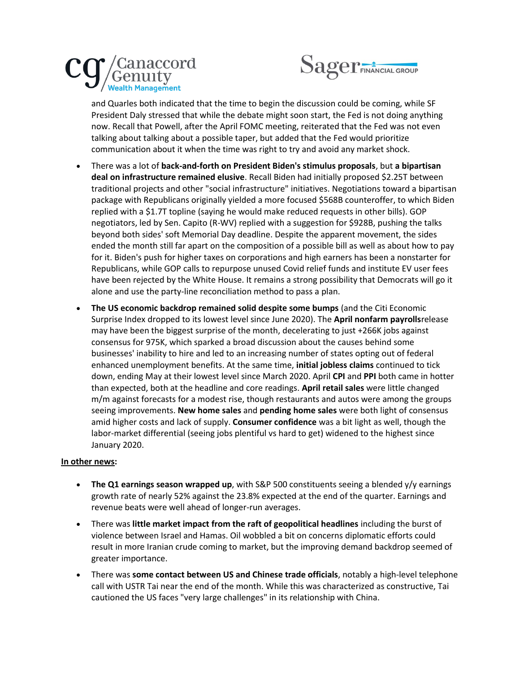



and Quarles both indicated that the time to begin the discussion could be coming, while SF President Daly stressed that while the debate might soon start, the Fed is not doing anything now. Recall that Powell, after the April FOMC meeting, reiterated that the Fed was not even talking about talking about a possible taper, but added that the Fed would prioritize communication about it when the time was right to try and avoid any market shock.

- There was a lot of **back-and-forth on President Biden's stimulus proposals**, but **a bipartisan deal on infrastructure remained elusive**. Recall Biden had initially proposed \$2.25T between traditional projects and other "social infrastructure" initiatives. Negotiations toward a bipartisan package with Republicans originally yielded a more focused \$568B counteroffer, to which Biden replied with a \$1.7T topline (saying he would make reduced requests in other bills). GOP negotiators, led by Sen. Capito (R-WV) replied with a suggestion for \$928B, pushing the talks beyond both sides' soft Memorial Day deadline. Despite the apparent movement, the sides ended the month still far apart on the composition of a possible bill as well as about how to pay for it. Biden's push for higher taxes on corporations and high earners has been a nonstarter for Republicans, while GOP calls to repurpose unused Covid relief funds and institute EV user fees have been rejected by the White House. It remains a strong possibility that Democrats will go it alone and use the party-line reconciliation method to pass a plan.
- **The US economic backdrop remained solid despite some bumps** (and the Citi Economic Surprise Index dropped to its lowest level since June 2020). The **April nonfarm payrolls**release may have been the biggest surprise of the month, decelerating to just +266K jobs against consensus for 975K, which sparked a broad discussion about the causes behind some businesses' inability to hire and led to an increasing number of states opting out of federal enhanced unemployment benefits. At the same time, **initial jobless claims** continued to tick down, ending May at their lowest level since March 2020. April **CPI** and **PPI** both came in hotter than expected, both at the headline and core readings. **April retail sales** were little changed m/m against forecasts for a modest rise, though restaurants and autos were among the groups seeing improvements. **New home sales** and **pending home sales** were both light of consensus amid higher costs and lack of supply. **Consumer confidence** was a bit light as well, though the labor-market differential (seeing jobs plentiful vs hard to get) widened to the highest since January 2020.

## **In other news:**

- **The Q1 earnings season wrapped up**, with S&P 500 constituents seeing a blended y/y earnings growth rate of nearly 52% against the 23.8% expected at the end of the quarter. Earnings and revenue beats were well ahead of longer-run averages.
- There was **little market impact from the raft of geopolitical headlines** including the burst of violence between Israel and Hamas. Oil wobbled a bit on concerns diplomatic efforts could result in more Iranian crude coming to market, but the improving demand backdrop seemed of greater importance.
- There was **some contact between US and Chinese trade officials**, notably a high-level telephone call with USTR Tai near the end of the month. While this was characterized as constructive, Tai cautioned the US faces "very large challenges" in its relationship with China.